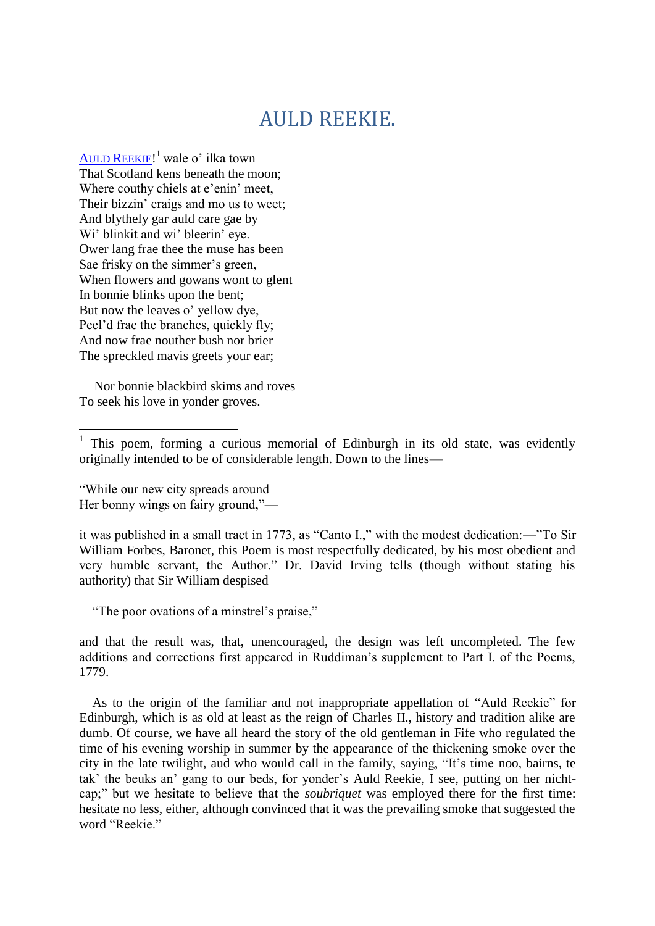## AULD REEKIE.

AULD R[EEKIE](http://books.google.com/books?id=CSkPAAAAQAAJ&dq=auld%20reekie&pg=PA82#v=onepage&q=auld%20reekie&f=false)!<sup>1</sup> wale o' ilka town That Scotland kens beneath the moon; Where couthy chiels at e'enin' meet, Their bizzin' craigs and mo us to weet; And blythely gar auld care gae by Wi' blinkit and wi' bleerin' eye. Ower lang frae thee the muse has been Sae frisky on the simmer's green, When flowers and gowans wont to glent In bonnie blinks upon the bent; But now the leaves o' yellow dye, Peel"d frae the branches, quickly fly; And now frae nouther bush nor brier The spreckled mavis greets your ear;

Nor bonnie blackbird skims and roves To seek his love in yonder groves.

"While our new city spreads around Her bonny wings on fairy ground,"—

<u>.</u>

it was published in a small tract in 1773, as "Canto I.," with the modest dedication:—"To Sir William Forbes, Baronet, this Poem is most respectfully dedicated, by his most obedient and very humble servant, the Author." Dr. David Irving tells (though without stating his authority) that Sir William despised

"The poor ovations of a minstrel's praise,"

and that the result was, that, unencouraged, the design was left uncompleted. The few additions and corrections first appeared in Ruddiman"s supplement to Part I. of the Poems, 1779.

As to the origin of the familiar and not inappropriate appellation of "Auld Reekie" for Edinburgh, which is as old at least as the reign of Charles II., history and tradition alike are dumb. Of course, we have all heard the story of the old gentleman in Fife who regulated the time of his evening worship in summer by the appearance of the thickening smoke over the city in the late twilight, aud who would call in the family, saying, "It"s time noo, bairns, te tak" the beuks an" gang to our beds, for yonder"s Auld Reekie, I see, putting on her nichtcap;" but we hesitate to believe that the *soubriquet* was employed there for the first time: hesitate no less, either, although convinced that it was the prevailing smoke that suggested the word "Reekie."

<sup>&</sup>lt;sup>1</sup> This poem, forming a curious memorial of Edinburgh in its old state, was evidently originally intended to be of considerable length. Down to the lines—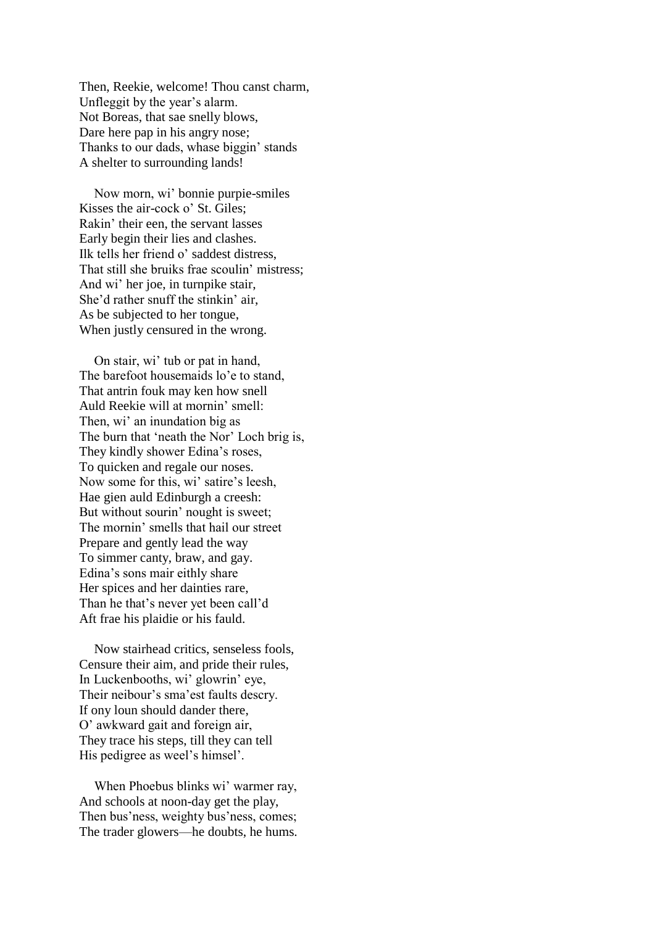Then, Reekie, welcome! Thou canst charm, Unfleggit by the year's alarm. Not Boreas, that sae snelly blows, Dare here pap in his angry nose; Thanks to our dads, whase biggin' stands A shelter to surrounding lands!

Now morn, wi" bonnie purpie-smiles Kisses the air-cock o' St. Giles; Rakin" their een, the servant lasses Early begin their lies and clashes. Ilk tells her friend o" saddest distress, That still she bruiks frae scoulin' mistress; And wi' her joe, in turnpike stair, She'd rather snuff the stinkin' air. As be subjected to her tongue, When justly censured in the wrong.

On stair, wi' tub or pat in hand. The barefoot housemaids lo"e to stand, That antrin fouk may ken how snell Auld Reekie will at mornin' smell: Then, wi' an inundation big as The burn that 'neath the Nor' Loch brig is, They kindly shower Edina"s roses, To quicken and regale our noses. Now some for this, wi' satire's leesh, Hae gien auld Edinburgh a creesh: But without sourin' nought is sweet: The mornin' smells that hail our street Prepare and gently lead the way To simmer canty, braw, and gay. Edina"s sons mair eithly share Her spices and her dainties rare, Than he that's never yet been call'd Aft frae his plaidie or his fauld.

Now stairhead critics, senseless fools, Censure their aim, and pride their rules, In Luckenbooths, wi' glowrin' eye, Their neibour's sma'est faults descry. If ony loun should dander there, O" awkward gait and foreign air, They trace his steps, till they can tell His pedigree as weel's himsel'.

When Phoebus blinks wi' warmer ray, And schools at noon-day get the play, Then bus'ness, weighty bus'ness, comes; The trader glowers—he doubts, he hums.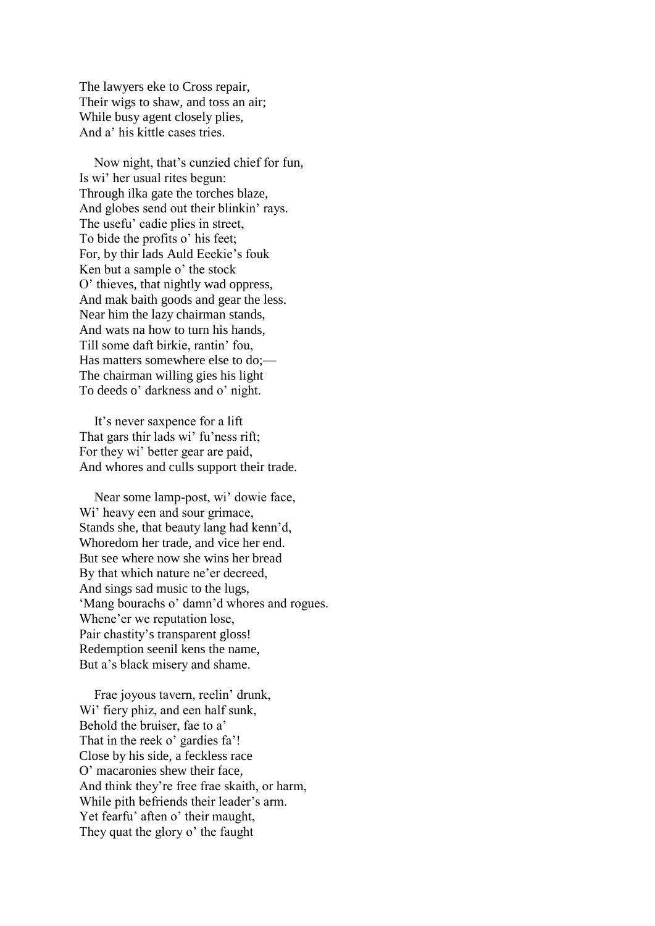The lawyers eke to Cross repair, Their wigs to shaw, and toss an air; While busy agent closely plies, And a" his kittle cases tries.

Now night, that"s cunzied chief for fun, Is wi" her usual rites begun: Through ilka gate the torches blaze, And globes send out their blinkin' rays. The usefu' cadie plies in street, To bide the profits o' his feet; For, by thir lads Auld Eeekie"s fouk Ken but a sample o' the stock O" thieves, that nightly wad oppress, And mak baith goods and gear the less. Near him the lazy chairman stands, And wats na how to turn his hands, Till some daft birkie, rantin' fou. Has matters somewhere else to do;— The chairman willing gies his light To deeds o' darkness and o' night.

It"s never saxpence for a lift That gars thir lads wi' fu'ness rift; For they wi' better gear are paid, And whores and culls support their trade.

Near some lamp-post, wi' dowie face, W<sub>i</sub>' heavy een and sour grimace, Stands she, that beauty lang had kenn'd, Whoredom her trade, and vice her end. But see where now she wins her bread By that which nature ne'er decreed, And sings sad music to the lugs, 'Mang bourachs o' damn'd whores and rogues. Whene'er we reputation lose, Pair chastity"s transparent gloss! Redemption seenil kens the name, But a's black misery and shame.

Frae joyous tavern, reelin" drunk, Wi" fiery phiz, and een half sunk, Behold the bruiser, fae to a' That in the reek o' gardies fa'! Close by his side, a feckless race O" macaronies shew their face, And think they"re free frae skaith, or harm, While pith befriends their leader's arm. Yet fearfu' aften o' their maught, They quat the glory o' the faught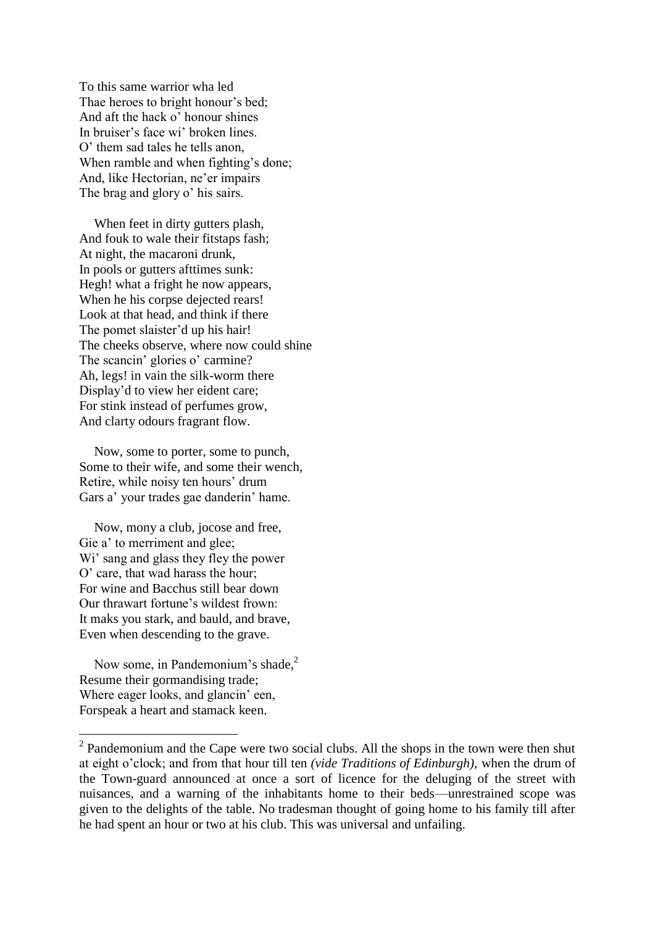To this same warrior wha led Thae heroes to bright honour's bed; And aft the hack o" honour shines In bruiser"s face wi" broken lines. O" them sad tales he tells anon, When ramble and when fighting's done; And, like Hectorian, ne'er impairs The brag and glory o' his sairs.

When feet in dirty gutters plash, And fouk to wale their fitstaps fash; At night, the macaroni drunk, In pools or gutters afttimes sunk: Hegh! what a fright he now appears, When he his corpse dejected rears! Look at that head, and think if there The pomet slaister'd up his hair! The cheeks observe, where now could shine The scancin' glories o' carmine? Ah, legs! in vain the silk-worm there Display"d to view her eident care; For stink instead of perfumes grow, And clarty odours fragrant flow.

Now, some to porter, some to punch, Some to their wife, and some their wench, Retire, while noisy ten hours' drum Gars a' your trades gae danderin' hame.

Now, mony a club, jocose and free, Gie a' to merriment and glee; Wi' sang and glass they fley the power O" care, that wad harass the hour; For wine and Bacchus still bear down Our thrawart fortune"s wildest frown: It maks you stark, and bauld, and brave, Even when descending to the grave.

<span id="page-3-0"></span>Now some, in Pandemonium's shade,<sup>2</sup> Resume their gormandising trade; Where eager looks, and glancin' een, Forspeak a heart and stamack keen.

<sup>&</sup>lt;sup>2</sup> Pandemonium and the Cape were two social clubs. All the shops in the town were then shut at eight o"clock; and from that hour till ten *(vide Traditions of Edinburgh),* when the drum of the Town-guard announced at once a sort of licence for the deluging of the street with nuisances, and a warning of the inhabitants home to their beds—unrestrained scope was given to the delights of the table. No tradesman thought of going home to his family till after he had spent an hour or two at his club. This was universal and unfailing.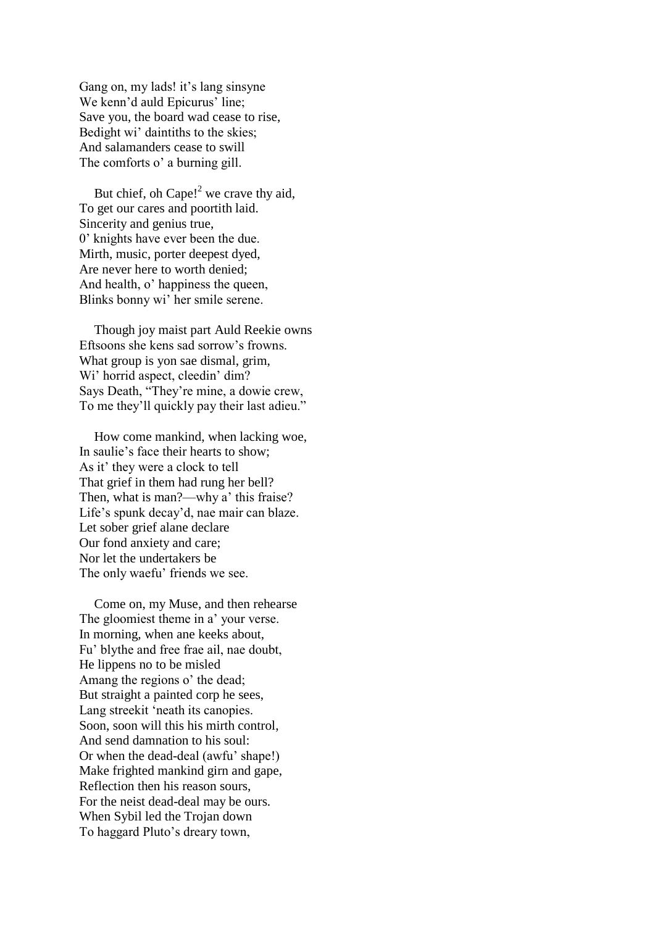Gang on, my lads! it's lang sinsyne We kenn'd auld Epicurus' line; Save you, the board wad cease to rise, Bedight wi' daintiths to the skies: And salamanders cease to swill The comforts o' a burning gill.

But chief, oh Cape[!](#page-3-0) $<sup>2</sup>$  we crave thy aid,</sup> To get our cares and poortith laid. Sincerity and genius true, 0" knights have ever been the due. Mirth, music, porter deepest dyed, Are never here to worth denied; And health, o' happiness the queen, Blinks bonny wi" her smile serene.

Though joy maist part Auld Reekie owns Eftsoons she kens sad sorrow"s frowns. What group is yon sae dismal, grim. Wi' horrid aspect, cleedin' dim? Says Death, "They"re mine, a dowie crew, To me they"ll quickly pay their last adieu."

How come mankind, when lacking woe, In saulie"s face their hearts to show; As it" they were a clock to tell That grief in them had rung her bell? Then, what is man?—why a' this fraise? Life's spunk decay'd, nae mair can blaze. Let sober grief alane declare Our fond anxiety and care; Nor let the undertakers be The only waefu' friends we see.

Come on, my Muse, and then rehearse The gloomiest theme in a' your verse. In morning, when ane keeks about, Fu" blythe and free frae ail, nae doubt, He lippens no to be misled Amang the regions o' the dead; But straight a painted corp he sees, Lang streekit "neath its canopies. Soon, soon will this his mirth control, And send damnation to his soul: Or when the dead-deal (awfu" shape!) Make frighted mankind girn and gape, Reflection then his reason sours, For the neist dead-deal may be ours. When Sybil led the Trojan down To haggard Pluto's dreary town,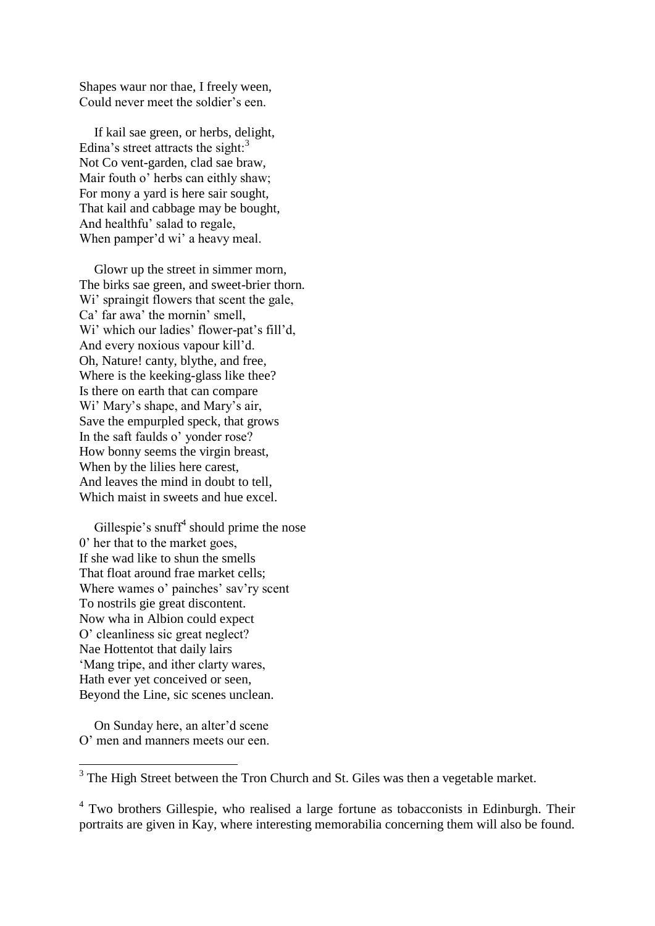Shapes waur nor thae, I freely ween, Could never meet the soldier's een.

If kail sae green, or herbs, delight, Edina's street attracts the sight: $3$ Not Co vent-garden, clad sae braw, Mair fouth o' herbs can eithly shaw; For mony a yard is here sair sought, That kail and cabbage may be bought, And healthfu' salad to regale, When pamper'd wi' a heavy meal.

Glowr up the street in simmer morn, The birks sae green, and sweet-brier thorn. Wi" spraingit flowers that scent the gale, Ca' far awa' the mornin' smell, Wi' which our ladies' flower-pat's fill'd, And every noxious vapour kill"d. Oh, Nature! canty, blythe, and free, Where is the keeking-glass like thee? Is there on earth that can compare Wi' Mary's shape, and Mary's air, Save the empurpled speck, that grows In the saft faulds o" yonder rose? How bonny seems the virgin breast, When by the lilies here carest, And leaves the mind in doubt to tell, Which maist in sweets and hue excel.

Gillespie's snuff<sup>4</sup> should prime the nose 0" her that to the market goes, If she wad like to shun the smells That float around frae market cells; Where wames o' painches' say'ry scent To nostrils gie great discontent. Now wha in Albion could expect O" cleanliness sic great neglect? Nae Hottentot that daily lairs "Mang tripe, and ither clarty wares, Hath ever yet conceived or seen, Beyond the Line, sic scenes unclean.

On Sunday here, an alter"d scene O" men and manners meets our een.

<u>.</u>

<sup>&</sup>lt;sup>3</sup> The High Street between the Tron Church and St. Giles was then a vegetable market.

<sup>&</sup>lt;sup>4</sup> Two brothers Gillespie, who realised a large fortune as tobacconists in Edinburgh. Their portraits are given in Kay, where interesting memorabilia concerning them will also be found.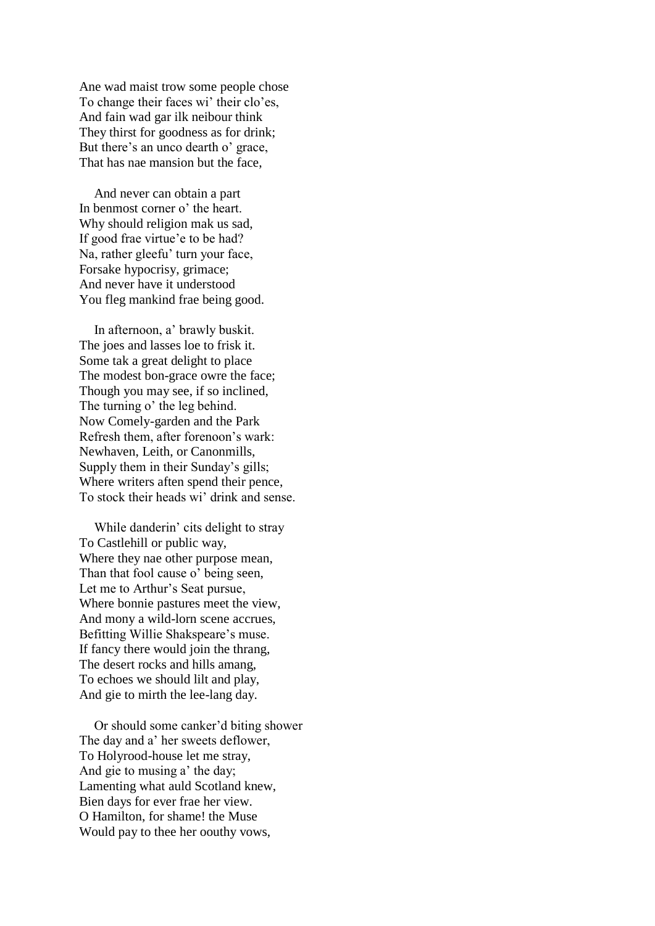Ane wad maist trow some people chose To change their faces wi' their clo'es. And fain wad gar ilk neibour think They thirst for goodness as for drink; But there's an unco dearth o' grace, That has nae mansion but the face,

And never can obtain a part In benmost corner o' the heart. Why should religion mak us sad. If good frae virtue'e to be had? Na, rather gleefu' turn your face, Forsake hypocrisy, grimace; And never have it understood You fleg mankind frae being good.

In afternoon, a" brawly buskit. The joes and lasses loe to frisk it. Some tak a great delight to place The modest bon-grace owre the face; Though you may see, if so inclined, The turning o' the leg behind. Now Comely-garden and the Park Refresh them, after forenoon"s wark: Newhaven, Leith, or Canonmills, Supply them in their Sunday's gills; Where writers aften spend their pence, To stock their heads wi" drink and sense.

While danderin' cits delight to stray To Castlehill or public way, Where they nae other purpose mean, Than that fool cause o' being seen, Let me to Arthur's Seat pursue, Where bonnie pastures meet the view, And mony a wild-lorn scene accrues, Befitting Willie Shakspeare's muse. If fancy there would join the thrang, The desert rocks and hills amang, To echoes we should lilt and play, And gie to mirth the lee-lang day.

Or should some canker"d biting shower The day and a' her sweets deflower, To Holyrood-house let me stray, And gie to musing a' the day; Lamenting what auld Scotland knew, Bien days for ever frae her view. O Hamilton, for shame! the Muse Would pay to thee her oouthy vows,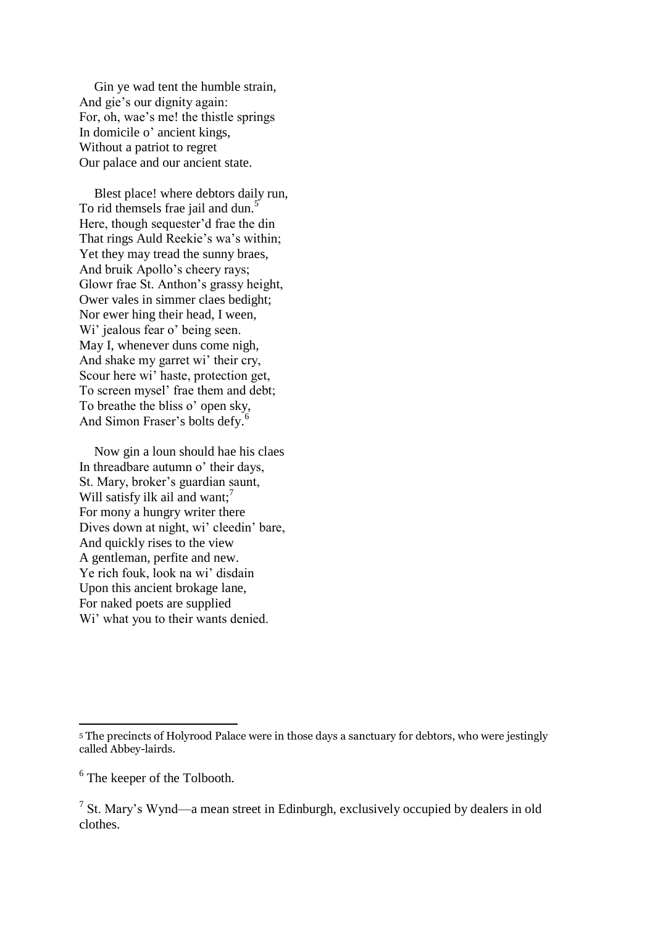Gin ye wad tent the humble strain, And gie"s our dignity again: For, oh, wae's me! the thistle springs In domicile o" ancient kings, Without a patriot to regret Our palace and our ancient state.

Blest place! where debtors daily run, To rid themsels frae jail and dun.<sup>5</sup> Here, though sequester'd frae the din That rings Auld Reekie's wa's within; Yet they may tread the sunny braes, And bruik Apollo"s cheery rays; Glowr frae St. Anthon"s grassy height, Ower vales in simmer claes bedight; Nor ewer hing their head, I ween, Wi' jealous fear o' being seen. May I, whenever duns come nigh, And shake my garret wi' their cry, Scour here wi" haste, protection get, To screen mysel' frae them and debt; To breathe the bliss o' open sky, And Simon Fraser's bolts defy.<sup>6</sup>

Now gin a loun should hae his claes In threadbare autumn o' their days, St. Mary, broker"s guardian saunt, Will satisfy ilk ail and want; $<sup>7</sup>$ </sup> For mony a hungry writer there Dives down at night, wi' cleedin' bare, And quickly rises to the view A gentleman, perfite and new. Ye rich fouk, look na wi' disdain Upon this ancient brokage lane, For naked poets are supplied Wi' what you to their wants denied.

<u>.</u>

<sup>5</sup> The precincts of Holyrood Palace were in those days a sanctuary for debtors, who were jestingly called Abbey-lairds.

<sup>&</sup>lt;sup>6</sup> The keeper of the Tolbooth.

 $<sup>7</sup>$  St. Mary's Wynd—a mean street in Edinburgh, exclusively occupied by dealers in old</sup> clothes.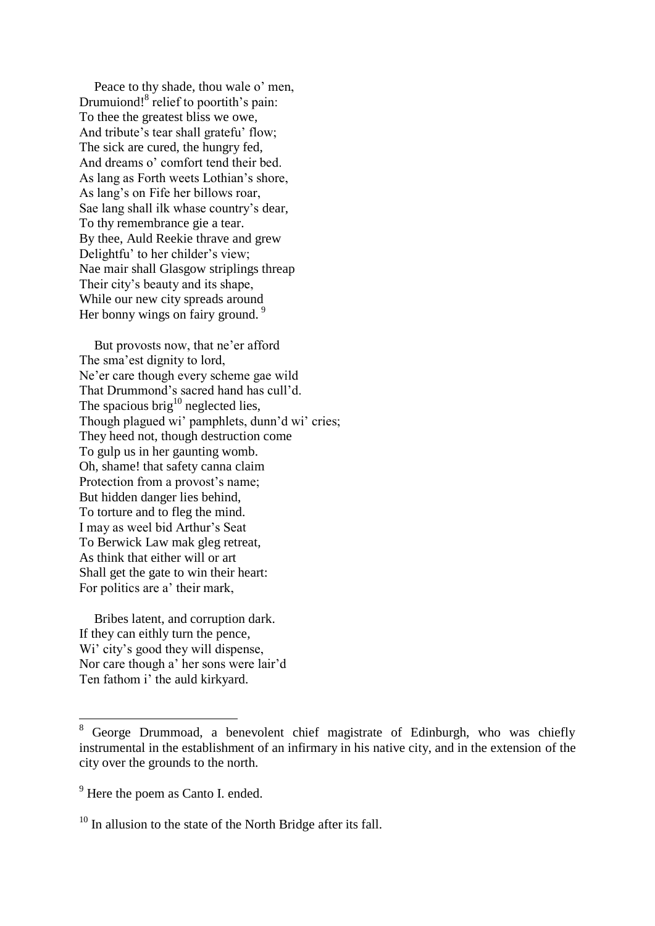Peace to thy shade, thou wale o' men, Drumuiond!<sup>8</sup> relief to poortith's pain: To thee the greatest bliss we owe, And tribute's tear shall gratefu' flow; The sick are cured, the hungry fed, And dreams o" comfort tend their bed. As lang as Forth weets Lothian's shore, As lang"s on Fife her billows roar, Sae lang shall ilk whase country's dear, To thy remembrance gie a tear. By thee, Auld Reekie thrave and grew Delightfu' to her childer's view; Nae mair shall Glasgow striplings threap Their city's beauty and its shape. While our new city spreads around Her bonny wings on fairy ground.<sup>9</sup>

But provosts now, that ne'er afford The sma'est dignity to lord, Ne'er care though every scheme gae wild That Drummond"s sacred hand has cull"d. The spacious brig<sup>10</sup> neglected lies, Though plagued wi' pamphlets, dunn'd wi' cries; They heed not, though destruction come To gulp us in her gaunting womb. Oh, shame! that safety canna claim Protection from a provost's name; But hidden danger lies behind, To torture and to fleg the mind. I may as weel bid Arthur"s Seat To Berwick Law mak gleg retreat, As think that either will or art Shall get the gate to win their heart: For politics are a' their mark,

Bribes latent, and corruption dark. If they can eithly turn the pence, Wi' city's good they will dispense, Nor care though a' her sons were lair'd Ten fathom i' the auld kirkyard.

 $8\,$ <sup>8</sup> George Drummoad, a benevolent chief magistrate of Edinburgh, who was chiefly instrumental in the establishment of an infirmary in his native city, and in the extension of the city over the grounds to the north.

<sup>&</sup>lt;sup>9</sup> Here the poem as Canto I. ended.

 $10$  In allusion to the state of the North Bridge after its fall.